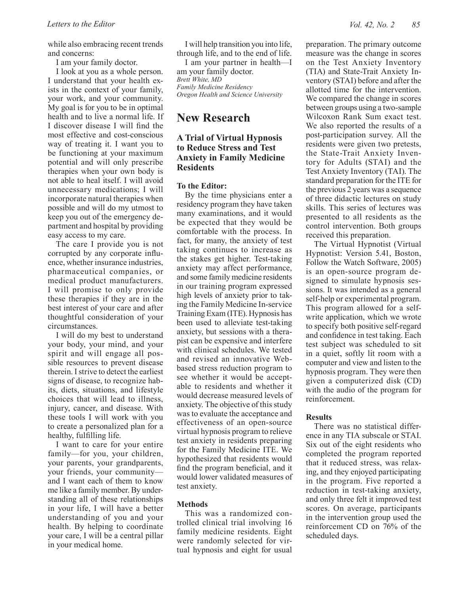while also embracing recent trends and concerns:

I am your family doctor.

I look at you as a whole person. I understand that your health exists in the context of your family, your work, and your community. My goal is for you to be in optimal health and to live a normal life. If I discover disease I will find the most effective and cost-conscious way of treating it. I want you to be functioning at your maximum potential and will only prescribe therapies when your own body is not able to heal itself. I will avoid unnecessary medications; I will incorporate natural therapies when possible and will do my utmost to keep you out of the emergency department and hospital by providing easy access to my care.

The care I provide you is not corrupted by any corporate influence, whether insurance industries, pharmaceutical companies, or medical product manufacturers. I will promise to only provide these therapies if they are in the best interest of your care and after thoughtful consideration of your circumstances.

I will do my best to understand your body, your mind, and your spirit and will engage all possible resources to prevent disease therein. I strive to detect the earliest signs of disease, to recognize habits, diets, situations, and lifestyle choices that will lead to illness, injury, cancer, and disease. With these tools I will work with you to create a personalized plan for a healthy, fulfilling life.

I want to care for your entire family—for you, your children, your parents, your grandparents, your friends, your community and I want each of them to know me like a family member. By understanding all of these relationships in your life, I will have a better understanding of you and your health. By helping to coordinate your care, I will be a central pillar in your medical home.

I will help transition you into life, through life, and to the end of life.

I am your partner in health—I am your family doctor. *Brett White, MD Family Medicine Residency Oregon Health and Science University*

# **New Research**

## **A Trial of Virtual Hypnosis to Reduce Stress and Test Anxiety in Family Medicine Residents**

#### **To the Editor:**

By the time physicians enter a residency program they have taken many examinations, and it would be expected that they would be comfortable with the process. In fact, for many, the anxiety of test taking continues to increase as the stakes get higher. Test-taking anxiety may affect performance, and some family medicine residents in our training program expressed high levels of anxiety prior to taking the Family Medicine In-service Training Exam (ITE). Hypnosis has been used to alleviate test-taking anxiety, but sessions with a therapist can be expensive and interfere with clinical schedules. We tested and revised an innovative Webbased stress reduction program to see whether it would be acceptable to residents and whether it would decrease measured levels of anxiety. The objective of this study was to evaluate the acceptance and effectiveness of an open-source virtual hypnosis program to relieve test anxiety in residents preparing for the Family Medicine ITE. We hypothesized that residents would find the program beneficial, and it would lower validated measures of test anxiety.

#### **Methods**

This was a randomized controlled clinical trial involving 16 family medicine residents. Eight were randomly selected for virtual hypnosis and eight for usual preparation. The primary outcome measure was the change in scores on the Test Anxiety Inventory (TIA) and State-Trait Anxiety Inventory (STAI) before and after the allotted time for the intervention. We compared the change in scores between groups using a two-sample Wilcoxon Rank Sum exact test. We also reported the results of a post-participation survey. All the residents were given two pretests, the State-Trait Anxiety Inventory for Adults (STAI) and the Test Anxiety Inventory (TAI). The standard preparation for the ITE for the previous 2 years was a sequence of three didactic lectures on study skills. This series of lectures was presented to all residents as the control intervention. Both groups received this preparation.

The Virtual Hypnotist (Virtual Hypnotist: Version 5.41, Boston, Follow the Watch Software, 2005) is an open-source program designed to simulate hypnosis sessions. It was intended as a general self-help or experimental program. This program allowed for a selfwrite application, which we wrote to specify both positive self-regard and confidence in test taking. Each test subject was scheduled to sit in a quiet, softly lit room with a computer and view and listen to the hypnosis program. They were then given a computerized disk (CD) with the audio of the program for reinforcement.

## **Results**

There was no statistical difference in any TIA subscale or STAI. Six out of the eight residents who completed the program reported that it reduced stress, was relaxing, and they enjoyed participating in the program. Five reported a reduction in test-taking anxiety, and only three felt it improved test scores. On average, participants in the intervention group used the reinforcement CD on 76% of the scheduled days.